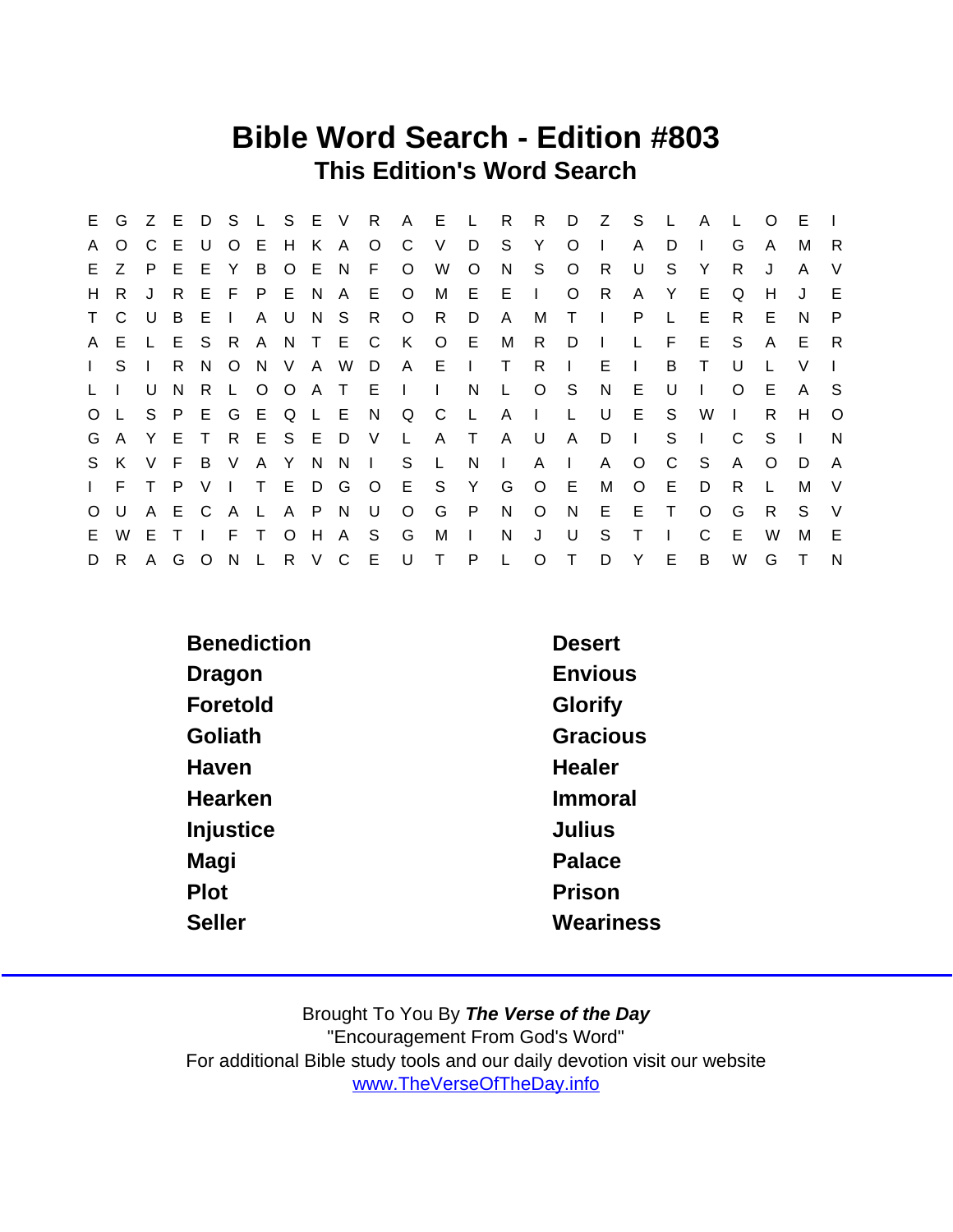## Bible Word Search - Edition #803 This Edition's Word Search

|              |                |              |       |              |        |        |         |                       |             |                         | E G Z E D S L S E V R A E L R R |              |                 |          |              | D Z S        |              | $\mathsf{L}$ | A            |         | $\Omega$     | E  |          |
|--------------|----------------|--------------|-------|--------------|--------|--------|---------|-----------------------|-------------|-------------------------|---------------------------------|--------------|-----------------|----------|--------------|--------------|--------------|--------------|--------------|---------|--------------|----|----------|
| A            | $\Omega$       |              | C E U |              |        | O E H  |         |                       | K A O C     |                         | V                               | D            | S               | Y        | $\Omega$     |              | A            | D.           |              | G       | A            | м  | -R       |
|              | E Z P E        |              |       | - E          | Y      |        |         |                       | B O E N F O |                         | W                               | $\circ$      | N               | S.       | $\circ$      | R.           | U            | S.           | Y            | R.      |              | A  | $\vee$   |
| H.           | R.             | $\mathbf{J}$ | -R    |              |        |        |         |                       |             | E F P E N A E O M       |                                 |              | $E$ $E$ $\perp$ |          | $\circ$      | R            | $\mathsf{A}$ | Y            | E.           | Q       | н            | J  | E.       |
|              | T C            | U            | B.    | -E.          | $\Box$ |        | A U     | N S R                 |             | O R                     |                                 | D            | $\mathsf{A}$    | М        | $T \cup$     |              | P.           | $\mathsf{L}$ | E.           | R.      | Е            | N  | P.       |
|              |                |              |       |              |        |        |         | A E L E S R A N T E C |             | K                       | $\circ$                         | - E          | M               | R        | D            |              | $\mathbf{L}$ | F            | E.           | S.      | $\mathsf{A}$ | E. | - R      |
| $\mathbf{L}$ | S.             |              | R.    | N,           |        |        |         |                       |             |                         | O N V A W D A E I T             |              |                 | R        | $\mathbf{L}$ | E.           | $\mathbf{L}$ | B            | $\top$       | U       |              | V  |          |
| L.           |                | U            | N     | $\mathsf{R}$ |        |        |         |                       |             | L O O A T E I I         |                                 | N            |                 | L O S    |              | N            | E            | U            |              | $\circ$ | Е            | A  | - S      |
|              | O L            |              |       | S P E        |        |        |         |                       |             | G E Q L E N Q C         |                                 | $\mathsf{L}$ |                 | $A \mid$ | $\mathsf{L}$ | U            | E.           | S.           | W            | $\Box$  | R            | H. | $\Omega$ |
|              |                |              |       |              |        |        |         |                       |             | G A Y E T R E S E D V L | A T                             |              | $\mathsf{A}$    | <b>U</b> | $\mathsf{A}$ | D            | $\Box$       | S.           | $\mathbf{I}$ | C.      | - S          |    | N        |
|              | S K            |              | V F   | B V A Y      |        |        |         |                       |             | N N I S L               |                                 | N,           | $\sim 1$ .      | A        | $\mathbf{L}$ | $\mathsf{A}$ | $\circ$      | C            | -S           | A       | $\Omega$     | D  | A        |
|              | $\mathsf{I}$ F | T P          |       |              |        |        | VITE    |                       |             | D G O E S               |                                 | Y            | G               | $\circ$  | - E          | М            | $\circ$      | E            | D            | R.      |              | М  | $\vee$   |
| $\circ$      | U              |              | A E C |              | A L    |        |         |                       | A P N U O   |                         | G                               | $\mathsf{P}$ | N               | $\circ$  | N            | E            | E.           | $\top$       | $\Omega$     | G       | R            | S. | - V      |
| E.           | W              | E T          |       |              | F      | $\top$ | $\circ$ | H A S                 |             | G                       | M                               | $\sim 1$ .   | N               | J        | U            | S.           | Τ            |              | C.           | E       | W            | М  | E        |
| D            | R.             |              | A G   |              |        |        |         |                       |             |                         | O N L R V C E U T P L           |              |                 | O T D    |              |              | Y            | E            | B            | W       | G            | T. | N        |

| <b>Benediction</b> | <b>Desert</b>   |
|--------------------|-----------------|
| Dragon             | Envious         |
| Foretold           | Glorify         |
| Goliath            | <b>Gracious</b> |
| Haven              | <b>Healer</b>   |
| Hearken            | Immoral         |
| Injustice          | Julius          |
| Magi               | Palace          |
| Plot               | Prison          |
| <b>Seller</b>      | Weariness       |
|                    |                 |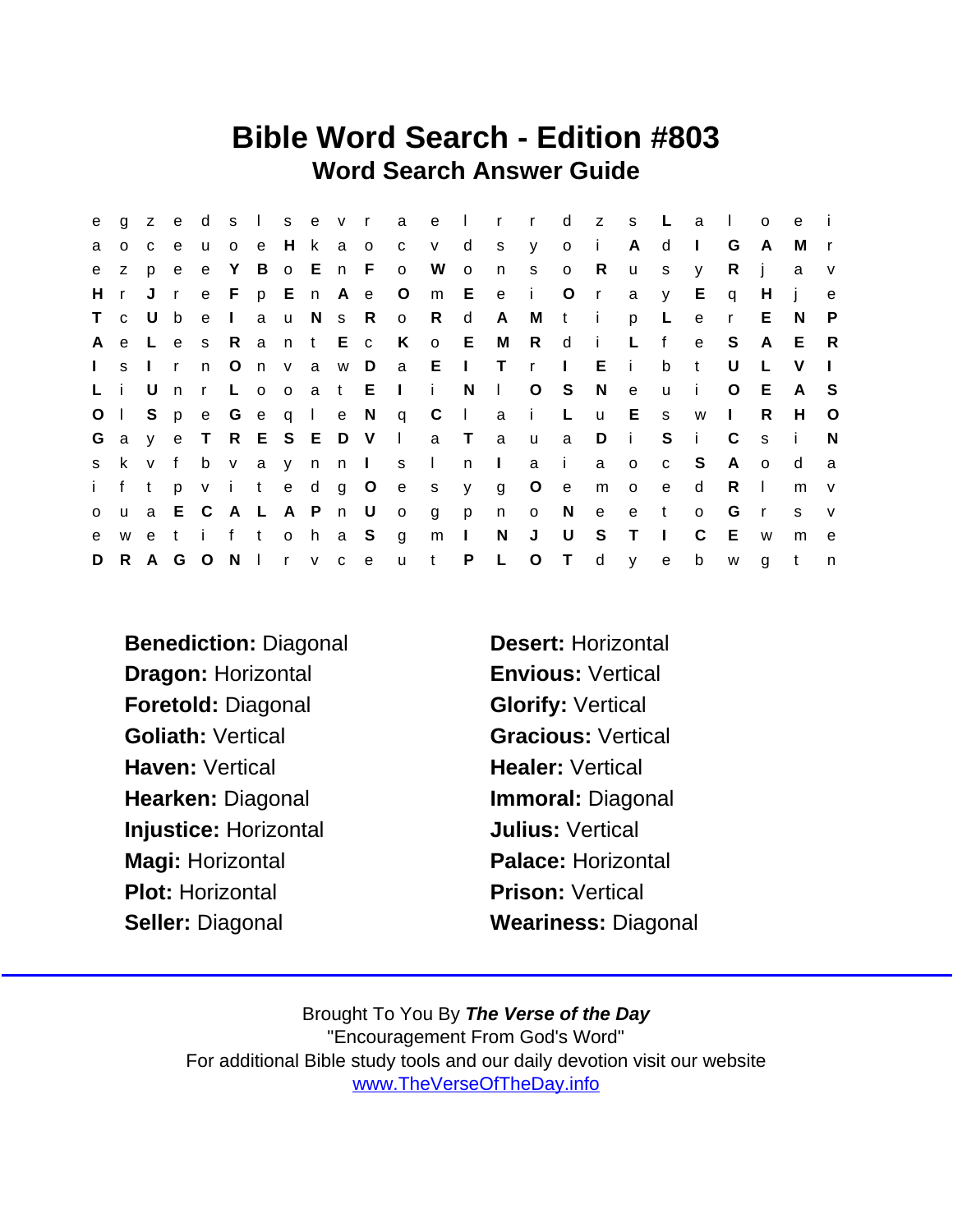## Bible Word Search - Edition #803 Word Search Answer Guide

| e            |              | g z e        |              |               |             |           |  |                       |                         | d s I s e v r a e I r r     |                |              |              |              | d z s        |                | $\mathbb{L}$ | a              | $\sim$ 1.0   | $\Omega$     | e            |              |
|--------------|--------------|--------------|--------------|---------------|-------------|-----------|--|-----------------------|-------------------------|-----------------------------|----------------|--------------|--------------|--------------|--------------|----------------|--------------|----------------|--------------|--------------|--------------|--------------|
| a            | $\circ$      | C            | e e          | <b>u</b>      | o e H k a o |           |  |                       |                         | c v d                       |                |              | sy o i       |              |              | $\mathsf{A}$   | d            | $\mathbf{L}$   | G            | A            | M            | $\mathsf{r}$ |
| e            | Z.           | p            | e e          |               |             |           |  | e Y B o E n F o       |                         | W                           | $\mathsf{o}\,$ | n            | S            | $\circ$      | R            | $\mathsf{u}$   | s            | y              | R.           | j            | a            | V            |
| H.           | $\mathsf{r}$ | J            | $\mathbf{r}$ |               |             |           |  |                       |                         | e Fp En Ae Om Ee i O        |                |              |              |              | $\mathsf{r}$ | a              | y            | E.             | q            | H            |              | $\mathbf e$  |
|              | T c          | U b          |              |               | e I         | a u N s R |  |                       | $\overline{O}$          | R                           | d              | A            |              | M t i        |              | p              | L            | ${\bf e}$      | $\mathsf{r}$ | E            | N.           | P            |
| A            |              |              |              |               |             |           |  | e Les Rant Ec K       |                         | o E                         |                |              | M R d        |              | $\sim 1$     | $\mathsf{L}$   | f            | $\mathbf{e}$   | S.           | A            | E            | - R          |
| $\mathbf{L}$ | S.           | $\mathbf{r}$ |              | n O n v a w D |             |           |  |                       |                         | a El Tr                     |                |              |              | $\mathbf{I}$ | E.           | $\sim 1$ .     | $\mathsf b$  | $-t$           | U            | L.           | V            | $\mathbf{L}$ |
|              | Li           | U n          |              |               |             |           |  |                       | r Looat Eli             |                             | N              | $\mathbf{1}$ |              | $O_S$        | N            | e              | $\mathsf{u}$ | $\blacksquare$ | $\circ$      | -E           | A            | - S          |
|              | $O \mid$     | S p          |              |               |             |           |  |                       | e Geqle Nq C            |                             |                |              | $ $ a i $ $  |              | u E s        |                |              | W              | $\mathbf{1}$ | R.           | H            | $\circ$      |
|              |              |              |              |               |             |           |  |                       |                         | Gay e T R E S E D V I a T a |                |              | $\mathsf{u}$ | a            | D            | $\sim 1$ .     | $S$ i        |                | C            | $\mathbf{s}$ | - i-         | N            |
| S.           |              |              |              |               |             |           |  | k v f b v a y n n l s |                         | $\sim 1$                    |                | $n \mid$     | a i          |              | a a          | $\circ$        | $\mathbf{C}$ | $^{\circ}$ S   | A            | $\circ$      | d            | a            |
| i -          |              | f t          |              |               |             |           |  |                       |                         | p v i t e d g O e s y       |                | g            | $\circ$      | e            | m            | $\overline{O}$ | e            | d              | R.           | $\mathbf{L}$ | m            | V            |
| $\mathsf{o}$ |              |              |              | u a E C A L   |             | A P n U   |  |                       | $\overline{\mathsf{O}}$ | g                           | p              | n            |              | $o$ N        | e            | e              | t            | $\circ$        | G            | $\mathsf{r}$ | <sub>S</sub> | $\mathsf{V}$ |
| e            |              |              |              | we tift oha S |             |           |  |                       | $\overline{g}$          | m                           | $\mathbf{L}$   | N            | J            | U            | S.           | $\top$         | $\Box$       | C              | - E          | W            | m            | e e          |
| D            |              | R A G        |              | ONITVC        |             |           |  | $\mathbf{e}$          | $\mathsf{u}$            | $\mathbf{t}$                | P              | $\mathsf{L}$ | $\circ$      | $\top$       | d            | y -            | e            | $\mathsf b$    | W            | g            | t            | n            |

Benediction: Diagonal Desert: Horizontal Dragon: Horizontal **Envious: Vertical** Foretold: Diagonal Glorify: Vertical Goliath: Vertical Gracious: Vertical Haven: Vertical **Healer: Vertical** Hearken: Diagonal **Immoral: Diagonal** Injustice: Horizontal **Julius: Vertical** Magi: Horizontal Palace: Horizontal Plot: Horizontal **Prison: Vertical** Seller: Diagonal Weariness: Diagonal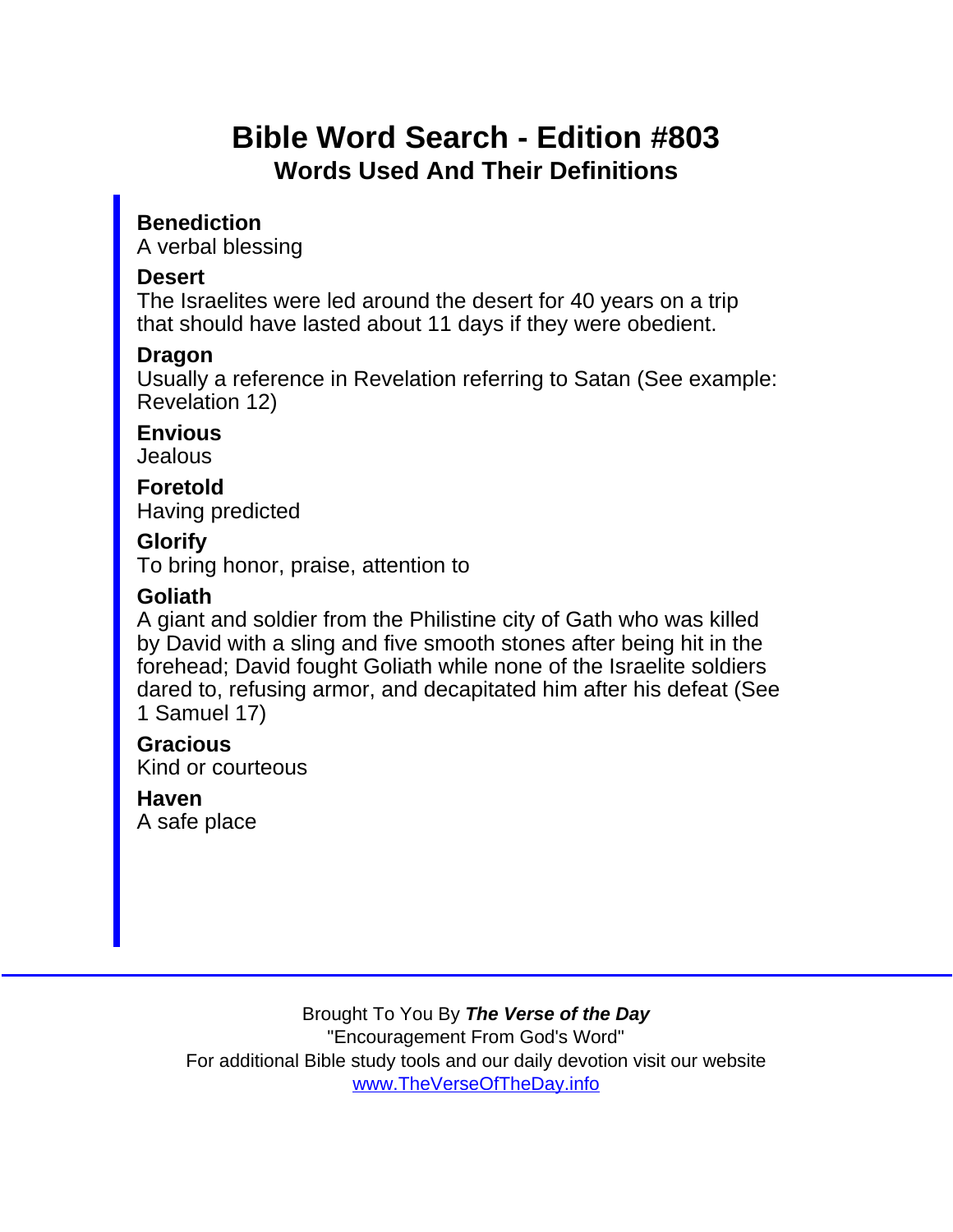# Bible Word Search - Edition #803 Words Used And Their Definitions

**Benediction** A verbal blessing

#### **Desert**

The Israelites were led around the desert for 40 years on a trip that should have lasted about 11 days if they were obedient.

Dragon

Usually a reference in Revelation referring to Satan (See example: Revelation 12)

**Envious Jealous** 

Foretold Having predicted

**Glorify** 

To bring honor, praise, attention to

Goliath

A giant and soldier from the Philistine city of Gath who was killed by David with a sling and five smooth stones after being hit in the forehead; David fought Goliath while none of the Israelite soldiers dared to, refusing armor, and decapitated him after his defeat (See 1 Samuel 17)

Gracious Kind or courteous

Haven A safe place